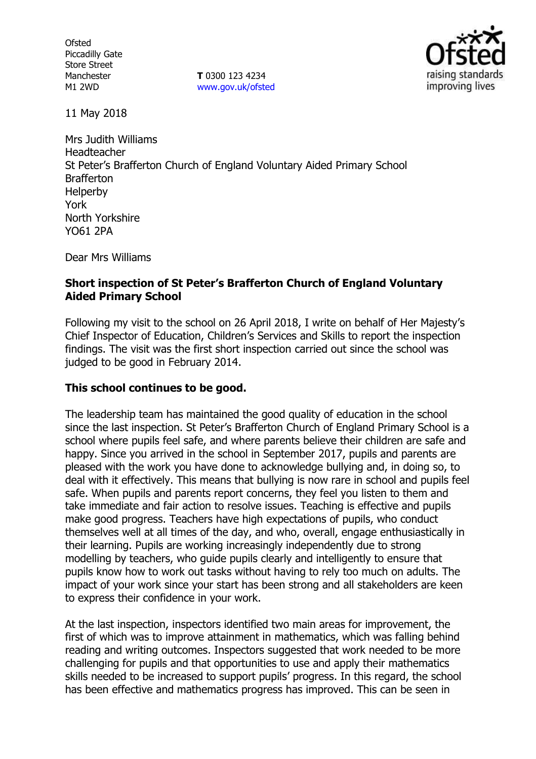**Ofsted** Piccadilly Gate Store Street Manchester M1 2WD

**T** 0300 123 4234 www.gov.uk/ofsted



11 May 2018

Mrs Judith Williams Headteacher St Peter's Brafferton Church of England Voluntary Aided Primary School **Brafferton Helperby** York North Yorkshire YO61 2PA

Dear Mrs Williams

### **Short inspection of St Peter's Brafferton Church of England Voluntary Aided Primary School**

Following my visit to the school on 26 April 2018, I write on behalf of Her Majesty's Chief Inspector of Education, Children's Services and Skills to report the inspection findings. The visit was the first short inspection carried out since the school was judged to be good in February 2014.

## **This school continues to be good.**

The leadership team has maintained the good quality of education in the school since the last inspection. St Peter's Brafferton Church of England Primary School is a school where pupils feel safe, and where parents believe their children are safe and happy. Since you arrived in the school in September 2017, pupils and parents are pleased with the work you have done to acknowledge bullying and, in doing so, to deal with it effectively. This means that bullying is now rare in school and pupils feel safe. When pupils and parents report concerns, they feel you listen to them and take immediate and fair action to resolve issues. Teaching is effective and pupils make good progress. Teachers have high expectations of pupils, who conduct themselves well at all times of the day, and who, overall, engage enthusiastically in their learning. Pupils are working increasingly independently due to strong modelling by teachers, who guide pupils clearly and intelligently to ensure that pupils know how to work out tasks without having to rely too much on adults. The impact of your work since your start has been strong and all stakeholders are keen to express their confidence in your work.

At the last inspection, inspectors identified two main areas for improvement, the first of which was to improve attainment in mathematics, which was falling behind reading and writing outcomes. Inspectors suggested that work needed to be more challenging for pupils and that opportunities to use and apply their mathematics skills needed to be increased to support pupils' progress. In this regard, the school has been effective and mathematics progress has improved. This can be seen in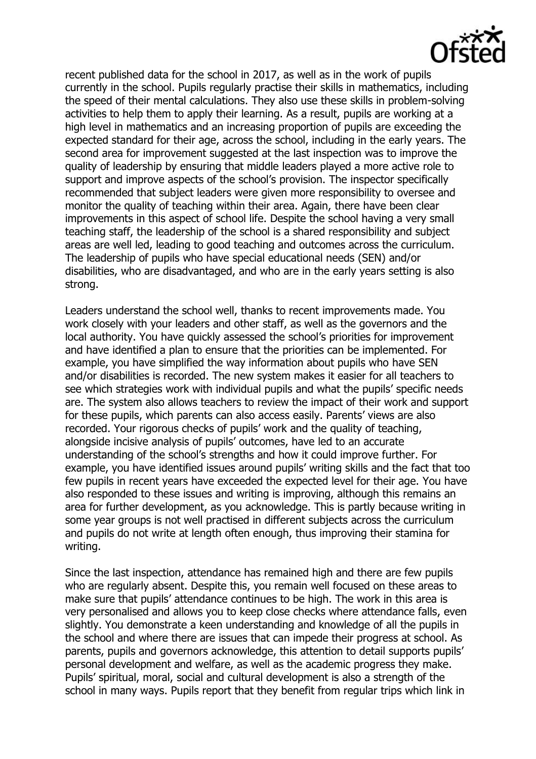recent published data for the school in 2017, as well as in the work of pupils currently in the school. Pupils regularly practise their skills in mathematics, including the speed of their mental calculations. They also use these skills in problem-solving activities to help them to apply their learning. As a result, pupils are working at a high level in mathematics and an increasing proportion of pupils are exceeding the expected standard for their age, across the school, including in the early years. The second area for improvement suggested at the last inspection was to improve the quality of leadership by ensuring that middle leaders played a more active role to support and improve aspects of the school's provision. The inspector specifically recommended that subject leaders were given more responsibility to oversee and monitor the quality of teaching within their area. Again, there have been clear improvements in this aspect of school life. Despite the school having a very small teaching staff, the leadership of the school is a shared responsibility and subject areas are well led, leading to good teaching and outcomes across the curriculum. The leadership of pupils who have special educational needs (SEN) and/or disabilities, who are disadvantaged, and who are in the early years setting is also strong.

Leaders understand the school well, thanks to recent improvements made. You work closely with your leaders and other staff, as well as the governors and the local authority. You have quickly assessed the school's priorities for improvement and have identified a plan to ensure that the priorities can be implemented. For example, you have simplified the way information about pupils who have SEN and/or disabilities is recorded. The new system makes it easier for all teachers to see which strategies work with individual pupils and what the pupils' specific needs are. The system also allows teachers to review the impact of their work and support for these pupils, which parents can also access easily. Parents' views are also recorded. Your rigorous checks of pupils' work and the quality of teaching, alongside incisive analysis of pupils' outcomes, have led to an accurate understanding of the school's strengths and how it could improve further. For example, you have identified issues around pupils' writing skills and the fact that too few pupils in recent years have exceeded the expected level for their age. You have also responded to these issues and writing is improving, although this remains an area for further development, as you acknowledge. This is partly because writing in some year groups is not well practised in different subjects across the curriculum and pupils do not write at length often enough, thus improving their stamina for writing.

Since the last inspection, attendance has remained high and there are few pupils who are regularly absent. Despite this, you remain well focused on these areas to make sure that pupils' attendance continues to be high. The work in this area is very personalised and allows you to keep close checks where attendance falls, even slightly. You demonstrate a keen understanding and knowledge of all the pupils in the school and where there are issues that can impede their progress at school. As parents, pupils and governors acknowledge, this attention to detail supports pupils' personal development and welfare, as well as the academic progress they make. Pupils' spiritual, moral, social and cultural development is also a strength of the school in many ways. Pupils report that they benefit from regular trips which link in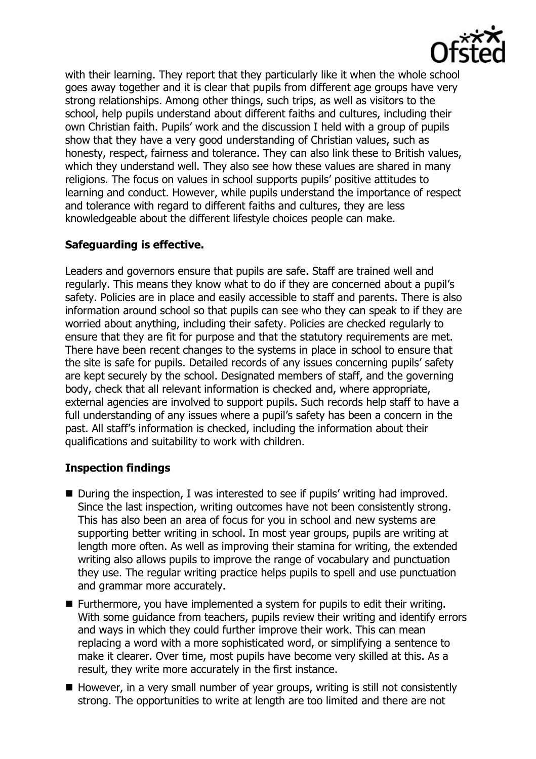

with their learning. They report that they particularly like it when the whole school goes away together and it is clear that pupils from different age groups have very strong relationships. Among other things, such trips, as well as visitors to the school, help pupils understand about different faiths and cultures, including their own Christian faith. Pupils' work and the discussion I held with a group of pupils show that they have a very good understanding of Christian values, such as honesty, respect, fairness and tolerance. They can also link these to British values, which they understand well. They also see how these values are shared in many religions. The focus on values in school supports pupils' positive attitudes to learning and conduct. However, while pupils understand the importance of respect and tolerance with regard to different faiths and cultures, they are less knowledgeable about the different lifestyle choices people can make.

# **Safeguarding is effective.**

Leaders and governors ensure that pupils are safe. Staff are trained well and regularly. This means they know what to do if they are concerned about a pupil's safety. Policies are in place and easily accessible to staff and parents. There is also information around school so that pupils can see who they can speak to if they are worried about anything, including their safety. Policies are checked regularly to ensure that they are fit for purpose and that the statutory requirements are met. There have been recent changes to the systems in place in school to ensure that the site is safe for pupils. Detailed records of any issues concerning pupils' safety are kept securely by the school. Designated members of staff, and the governing body, check that all relevant information is checked and, where appropriate, external agencies are involved to support pupils. Such records help staff to have a full understanding of any issues where a pupil's safety has been a concern in the past. All staff's information is checked, including the information about their qualifications and suitability to work with children.

## **Inspection findings**

- During the inspection, I was interested to see if pupils' writing had improved. Since the last inspection, writing outcomes have not been consistently strong. This has also been an area of focus for you in school and new systems are supporting better writing in school. In most year groups, pupils are writing at length more often. As well as improving their stamina for writing, the extended writing also allows pupils to improve the range of vocabulary and punctuation they use. The regular writing practice helps pupils to spell and use punctuation and grammar more accurately.
- Furthermore, you have implemented a system for pupils to edit their writing. With some guidance from teachers, pupils review their writing and identify errors and ways in which they could further improve their work. This can mean replacing a word with a more sophisticated word, or simplifying a sentence to make it clearer. Over time, most pupils have become very skilled at this. As a result, they write more accurately in the first instance.
- However, in a very small number of year groups, writing is still not consistently strong. The opportunities to write at length are too limited and there are not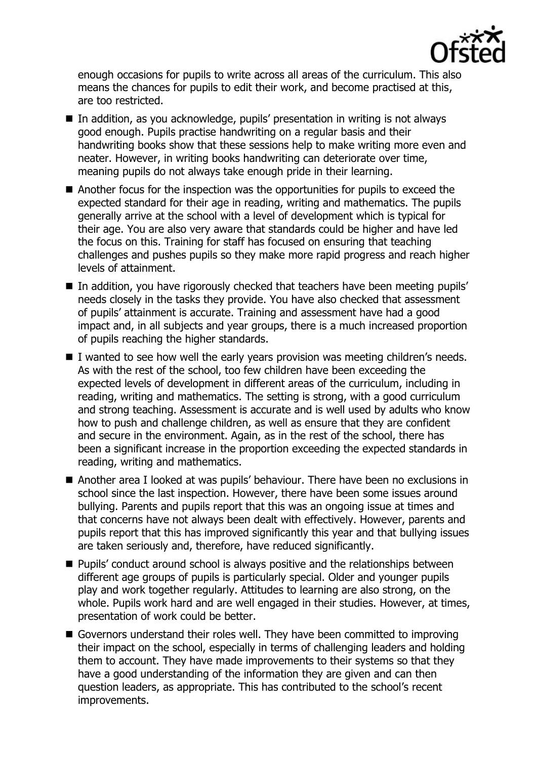

enough occasions for pupils to write across all areas of the curriculum. This also means the chances for pupils to edit their work, and become practised at this, are too restricted.

- In addition, as you acknowledge, pupils' presentation in writing is not always good enough. Pupils practise handwriting on a regular basis and their handwriting books show that these sessions help to make writing more even and neater. However, in writing books handwriting can deteriorate over time, meaning pupils do not always take enough pride in their learning.
- Another focus for the inspection was the opportunities for pupils to exceed the expected standard for their age in reading, writing and mathematics. The pupils generally arrive at the school with a level of development which is typical for their age. You are also very aware that standards could be higher and have led the focus on this. Training for staff has focused on ensuring that teaching challenges and pushes pupils so they make more rapid progress and reach higher levels of attainment.
- In addition, you have rigorously checked that teachers have been meeting pupils' needs closely in the tasks they provide. You have also checked that assessment of pupils' attainment is accurate. Training and assessment have had a good impact and, in all subjects and year groups, there is a much increased proportion of pupils reaching the higher standards.
- $\blacksquare$  I wanted to see how well the early years provision was meeting children's needs. As with the rest of the school, too few children have been exceeding the expected levels of development in different areas of the curriculum, including in reading, writing and mathematics. The setting is strong, with a good curriculum and strong teaching. Assessment is accurate and is well used by adults who know how to push and challenge children, as well as ensure that they are confident and secure in the environment. Again, as in the rest of the school, there has been a significant increase in the proportion exceeding the expected standards in reading, writing and mathematics.
- Another area I looked at was pupils' behaviour. There have been no exclusions in school since the last inspection. However, there have been some issues around bullying. Parents and pupils report that this was an ongoing issue at times and that concerns have not always been dealt with effectively. However, parents and pupils report that this has improved significantly this year and that bullying issues are taken seriously and, therefore, have reduced significantly.
- **Pupils'** conduct around school is always positive and the relationships between different age groups of pupils is particularly special. Older and younger pupils play and work together regularly. Attitudes to learning are also strong, on the whole. Pupils work hard and are well engaged in their studies. However, at times, presentation of work could be better.
- Governors understand their roles well. They have been committed to improving their impact on the school, especially in terms of challenging leaders and holding them to account. They have made improvements to their systems so that they have a good understanding of the information they are given and can then question leaders, as appropriate. This has contributed to the school's recent improvements.